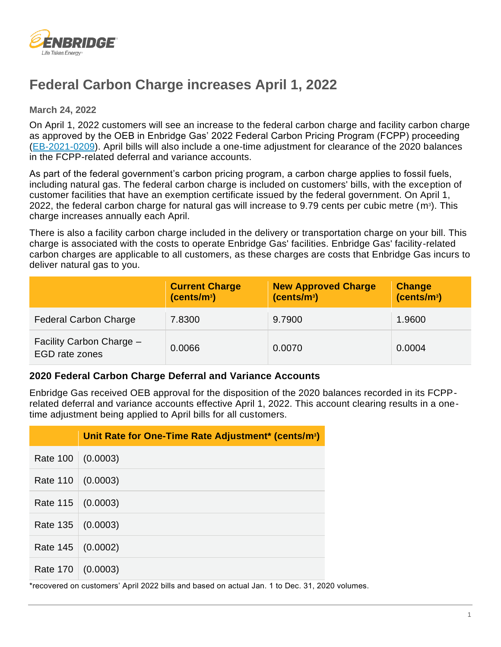

## **Federal Carbon Charge increases April 1, 2022**

**March 24, 2022**

On April 1, 2022 customers will see an increase to the federal carbon charge and facility carbon charge as approved by the OEB in Enbridge Gas' 2022 Federal Carbon Pricing Program (FCPP) proceeding [\(EB-2021-0209\)](https://www.enbridgegas.com/about-enbridge-gas/regulatory). April bills will also include a one-time adjustment for clearance of the 2020 balances in the FCPP-related deferral and variance accounts.

As part of the federal government's carbon pricing program, a carbon charge applies to fossil fuels, including natural gas. The federal carbon charge is included on customers' bills, with the exception of customer facilities that have an exemption certificate issued by the federal government. On April 1, 2022, the federal carbon charge for natural gas will increase to 9.79 cents per cubic metre (m<sup>3</sup>). This charge increases annually each April.

There is also a facility carbon charge included in the delivery or transportation charge on your bill. This charge is associated with the costs to operate Enbridge Gas' facilities. Enbridge Gas' facility-related carbon charges are applicable to all customers, as these charges are costs that Enbridge Gas incurs to deliver natural gas to you.

|                                                   | <b>Current Charge</b><br>(cents/m <sup>3</sup> ) | <b>New Approved Charge</b><br>(cents/m <sup>3</sup> ) | <b>Change</b><br>(cents/m <sup>3</sup> ) |
|---------------------------------------------------|--------------------------------------------------|-------------------------------------------------------|------------------------------------------|
| <b>Federal Carbon Charge</b>                      | 7.8300                                           | 9.7900                                                | 1.9600                                   |
| Facility Carbon Charge -<br><b>EGD</b> rate zones | 0.0066                                           | 0.0070                                                | 0.0004                                   |

#### **2020 Federal Carbon Charge Deferral and Variance Accounts**

Enbridge Gas received OEB approval for the disposition of the 2020 balances recorded in its FCPPrelated deferral and variance accounts effective April 1, 2022. This account clearing results in a onetime adjustment being applied to April bills for all customers.

|                 | Unit Rate for One-Time Rate Adjustment* (cents/m <sup>3</sup> ) |
|-----------------|-----------------------------------------------------------------|
| Rate 100        | (0.0003)                                                        |
| Rate 110        | (0.0003)                                                        |
| Rate 115        | (0.0003)                                                        |
| Rate 135        | (0.0003)                                                        |
| <b>Rate 145</b> | (0.0002)                                                        |
| <b>Rate 170</b> | (0.0003)                                                        |

\*recovered on customers' April 2022 bills and based on actual Jan. 1 to Dec. 31, 2020 volumes.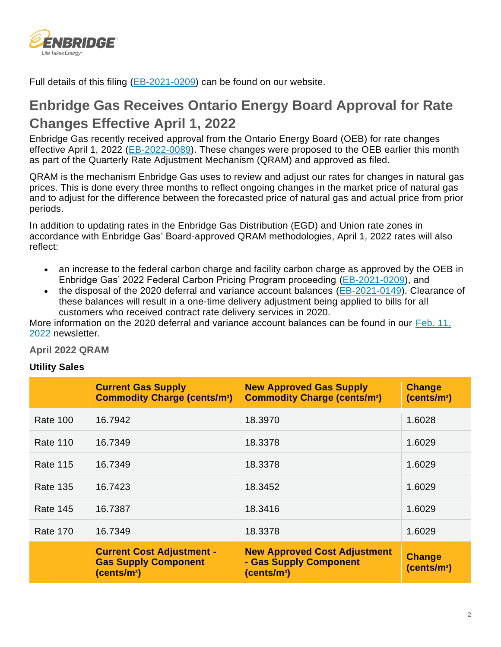

Full details of this filing [\(EB-2021-0209\)](https://www.enbridgegas.com/about-enbridge-gas/regulatory) can be found on our website.

# **Enbridge Gas Receives Ontario Energy Board Approval for Rate Changes Effective April 1, 2022**

Enbridge Gas recently received approval from the Ontario Energy Board (OEB) for rate changes effective April 1, 2022 [\(EB-2022-0089\)](https://www.enbridgegas.com/about-enbridge-gas/regulatory). These changes were proposed to the OEB earlier this month as part of the Quarterly Rate Adjustment Mechanism (QRAM) and approved as filed.

QRAM is the mechanism Enbridge Gas uses to review and adjust our rates for changes in natural gas prices. This is done every three months to reflect ongoing changes in the market price of natural gas and to adjust for the difference between the forecasted price of natural gas and actual price from prior periods.

In addition to updating rates in the Enbridge Gas Distribution (EGD) and Union rate zones in accordance with Enbridge Gas' Board-approved QRAM methodologies, April 1, 2022 rates will also reflect:

- an increase to the federal carbon charge and facility carbon charge as approved by the OEB in Enbridge Gas' 2022 Federal Carbon Pricing Program proceeding [\(EB-2021-0209\)](https://www.enbridgegas.com/about-enbridge-gas/regulatory), and
- the disposal of the 2020 deferral and variance account balances [\(EB-2021-0149\)](https://www.enbridgegas.com/about-enbridge-gas/regulatory). Clearance of these balances will result in a one-time delivery adjustment being applied to bills for all customers who received contract rate delivery services in 2020.

More information on the 2020 deferral and variance account balances can be found in our Feb. 11, [2022](https://www.enbridgegas.com/business-industrial/newsletters/large-volume-customers) newsletter.

**April 2022 QRAM**

## **Utility Sales**

|                 | <b>Current Gas Supply</b><br><b>Commodity Charge (cents/m3)</b>                            | <b>New Approved Gas Supply</b><br><b>Commodity Charge (cents/m<sup>3</sup>)</b>          | <b>Change</b><br>(cents/m <sup>3</sup> ) |
|-----------------|--------------------------------------------------------------------------------------------|------------------------------------------------------------------------------------------|------------------------------------------|
| <b>Rate 100</b> | 16.7942                                                                                    | 18.3970                                                                                  | 1.6028                                   |
| <b>Rate 110</b> | 16.7349                                                                                    | 18,3378                                                                                  | 1.6029                                   |
| Rate 115        | 16.7349                                                                                    | 18,3378                                                                                  | 1.6029                                   |
| Rate 135        | 16.7423                                                                                    | 18.3452                                                                                  | 1.6029                                   |
| <b>Rate 145</b> | 16.7387                                                                                    | 18.3416                                                                                  | 1.6029                                   |
| <b>Rate 170</b> | 16.7349                                                                                    | 18.3378                                                                                  | 1.6029                                   |
|                 | <b>Current Cost Adjustment -</b><br><b>Gas Supply Component</b><br>(cents/m <sup>3</sup> ) | <b>New Approved Cost Adjustment</b><br>- Gas Supply Component<br>(cents/m <sup>3</sup> ) | <b>Change</b><br>(cents/m <sup>3</sup> ) |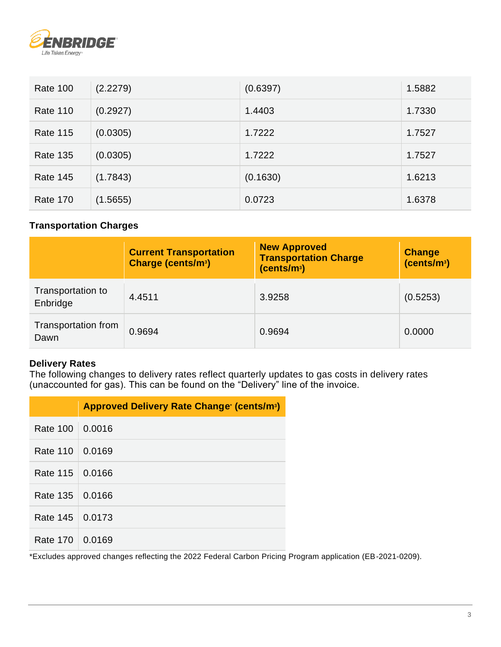

| <b>Rate 100</b> | (2.2279) | (0.6397) | 1.5882 |
|-----------------|----------|----------|--------|
| <b>Rate 110</b> | (0.2927) | 1.4403   | 1.7330 |
| <b>Rate 115</b> | (0.0305) | 1.7222   | 1.7527 |
| <b>Rate 135</b> | (0.0305) | 1.7222   | 1.7527 |
| <b>Rate 145</b> | (1.7843) | (0.1630) | 1.6213 |
| <b>Rate 170</b> | (1.5655) | 0.0723   | 1.6378 |

#### **Transportation Charges**

|                               | <b>Current Transportation</b><br><b>Charge (cents/m<sup>3</sup>)</b> | <b>New Approved</b><br><b>Transportation Charge</b><br>(cents/m <sup>3</sup> ) | <b>Change</b><br>(cents/m <sup>3</sup> ) |
|-------------------------------|----------------------------------------------------------------------|--------------------------------------------------------------------------------|------------------------------------------|
| Transportation to<br>Enbridge | 4.4511                                                               | 3.9258                                                                         | (0.5253)                                 |
| Transportation from<br>Dawn   | 0.9694                                                               | 0.9694                                                                         | 0.0000                                   |

#### **Delivery Rates**

The following changes to delivery rates reflect quarterly updates to gas costs in delivery rates (unaccounted for gas). This can be found on the "Delivery" line of the invoice.

|                   | <b>Approved Delivery Rate Change (cents/m<sup>3</sup>)</b> |
|-------------------|------------------------------------------------------------|
| <b>Rate 100</b>   | 0.0016                                                     |
| <b>Rate 110</b>   | 0.0169                                                     |
| Rate 115   0.0166 |                                                            |
| Rate 135          | 0.0166                                                     |
| Rate 145          | 0.0173                                                     |
| Rate 170          | 0.0169                                                     |

\*Excludes approved changes reflecting the 2022 Federal Carbon Pricing Program application (EB-2021-0209).